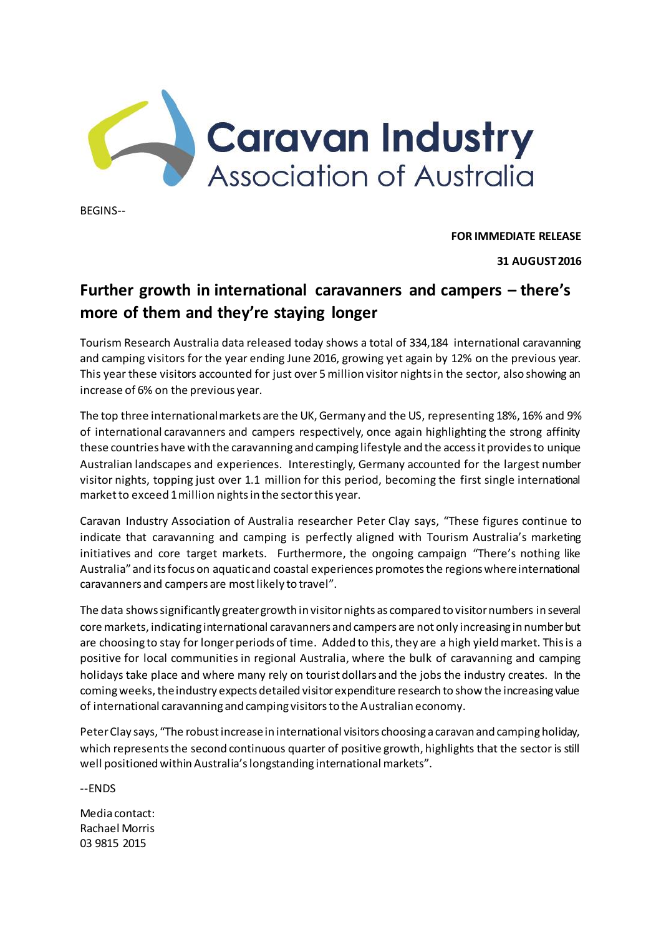

BEGINS--

**FOR IMMEDIATE RELEASE**

**31 AUGUST2016** 

## **Further growth in international caravanners and campers – there's more of them and they're staying longer**

Tourism Research Australia data released today shows a total of 334,184 international caravanning and camping visitors for the year ending June 2016, growing yet again by 12% on the previous year. This year these visitors accounted for just over 5 million visitor nights in the sector, also showing an increase of 6% on the previous year.

The top three international markets are the UK, Germany and the US, representing 18%, 16% and 9% of international caravanners and campers respectively, once again highlighting the strong affinity these countries have with the caravanning and camping lifestyle and the access it provides to unique Australian landscapes and experiences. Interestingly, Germany accounted for the largest number visitor nights, topping just over 1.1 million for this period, becoming the first single international market to exceed 1 million nights in the sector this year.

Caravan Industry Association of Australia researcher Peter Clay says, "These figures continue to indicate that caravanning and camping is perfectly aligned with Tourism Australia's marketing initiatives and core target markets. Furthermore, the ongoing campaign "There's nothing like Australia" and its focus on aquatic and coastal experiences promotes the regions where international caravanners and campers are most likely to travel".

The data shows significantly greater growth in visitor nights as compared to visitor numbers in several core markets, indicating international caravanners and campers are not only increasing in number but are choosing to stay for longer periods of time. Added to this, they are a high yield market. This is a positive for local communities in regional Australia, where the bulk of caravanning and camping holidays take place and where many rely on tourist dollars and the jobs the industry creates. In the coming weeks, the industry expects detailed visitor expenditure research to show the increasing value of international caravanning and camping visitors to the Australian economy.

Peter Clay says, "The robust increase in international visitors choosing a caravan and camping holiday, which represents the second continuous quarter of positive growth, highlights that the sector is still well positioned within Australia's longstanding international markets".

--ENDS

Media contact: Rachael Morris 03 9815 2015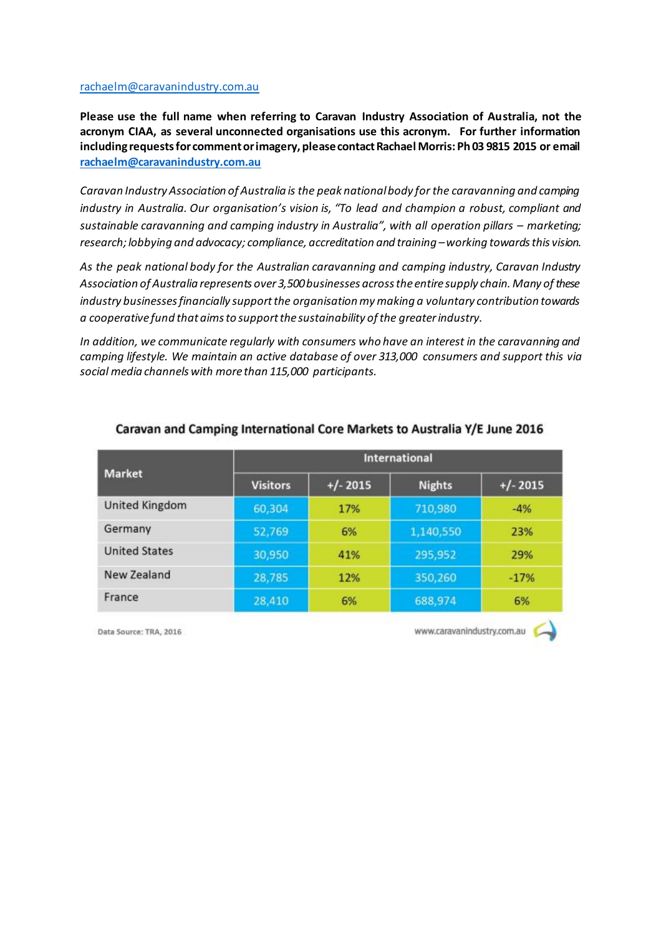## [rachaelm@caravanindustry.com.au](mailto:callieh@caravanindustry.com.au)

**Please use the full name when referring to Caravan Industry Association of Australia, not the acronym CIAA, as several unconnected organisations use this acronym. For further information including requests for comment or imagery, please contact Rachael Morris: Ph 03 9815 2015 or email [rachaelm@caravanindustry.com.au](mailto:rachaelm@caravanindustry.com.au)**

*Caravan Industry Association of Australia is the peak national body for the caravanning and camping industry in Australia. Our organisation's vision is, "To lead and champion a robust, compliant and sustainable caravanning and camping industry in Australia", with all operation pillars – marketing; research; lobbying and advocacy; compliance, accreditation and training – working towards this vision.* 

*As the peak national body for the Australian caravanning and camping industry, Caravan Industry Association of Australia represents over 3,500 businesses across the entire supply chain. Many of these industry businesses financially support the organisation my making a voluntary contribution towards a cooperative fund that aims to support the sustainability of the greater industry.*

*In addition, we communicate regularly with consumers who have an interest in the caravanning and camping lifestyle. We maintain an active database of over 313,000 consumers and support this via social media channels with more than 115,000 participants.*

| <b>Market</b>        | International   |            |               |            |
|----------------------|-----------------|------------|---------------|------------|
|                      | <b>Visitors</b> | $+/- 2015$ | <b>Nights</b> | $+/- 2015$ |
| United Kingdom       | 60,304          | 17%        | 710,980       | $-4%$      |
| Germany              | 52,769          | 6%         | 1,140,550     | 23%        |
| <b>United States</b> | 30,950          | 41%        | 295,952       | 29%        |
| New Zealand          | 28,785          | 12%        | 350,260       | $-17%$     |
| France               | 28,410          | 6%         | 688,974       | 6%         |

## Caravan and Camping International Core Markets to Australia Y/E June 2016

Data Source: TRA, 2016

www.caravanindustry.com.au